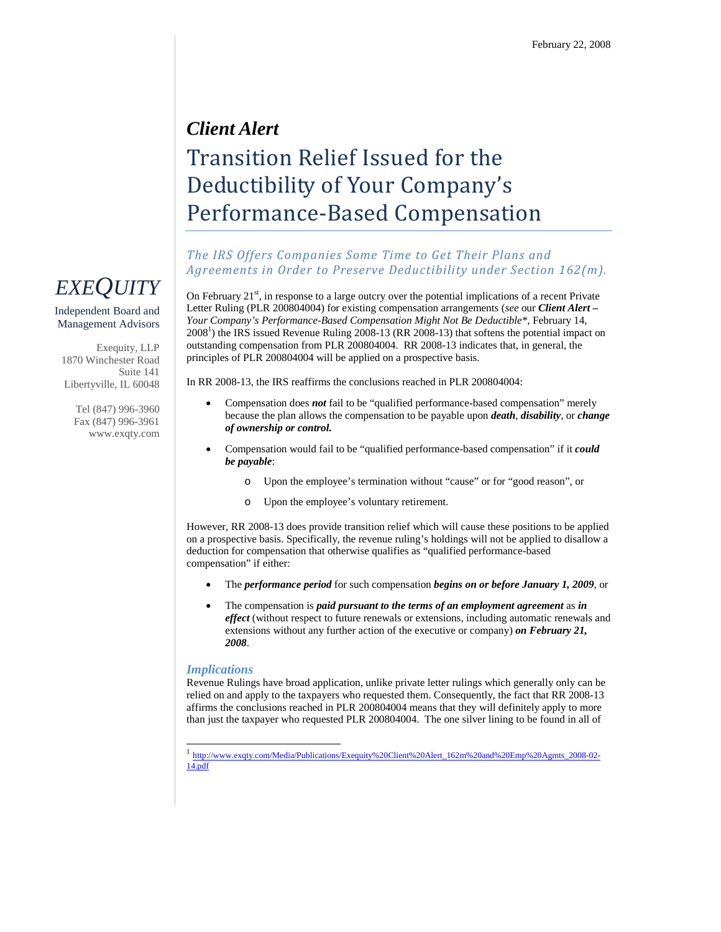## *Client Alert* Transition Relief Issued for the Deductibility of Your Company's Performance-Based Compensation

## *The IRS Offers Companies Some Time to Get Their Plans and Agreements in Order to Preserve Deductibility under Section 162(m).*

On February  $21^{st}$ , in response to a large outcry over the potential implications of a recent Private Letter Ruling (PLR 200804004) for existing compensation arrangements (*see* our *Client Alert* **–** *Your Company's Performance-Based Compensation Might Not Be Deductible\*,* February 14,  $2008<sup>1</sup>$ ) the IRS issued Revenue Ruling 2008-13 (RR 2008-13) that softens the potential impact on outstanding compensation from PLR 200804004. RR 2008-13 indicates that, in general, the principles of PLR 200804004 will be applied on a prospective basis.

In RR 2008-13, the IRS reaffirms the conclusions reached in PLR 200804004:

- Compensation does *not* fail to be "qualified performance-based compensation" merely because the plan allows the compensation to be payable upon *death*, *disability*, or *change of ownership or control.*
- Compensation would fail to be "qualified performance-based compensation" if it *could be payable*:
	- o Upon the employee's termination without "cause" or for "good reason", or
	- o Upon the employee's voluntary retirement.

However, RR 2008-13 does provide transition relief which will cause these positions to be applied on a prospective basis. Specifically, the revenue ruling's holdings will not be applied to disallow a deduction for compensation that otherwise qualifies as "qualified performance-based compensation" if either:

- The *performance period* for such compensation *begins on or before January 1, 2009*, or
- The compensation is *paid pursuant to the terms of an employment agreement* as *in effect* (without respect to future renewals or extensions, including automatic renewals and extensions without any further action of the executive or company) *on February 21, 2008*.

## *Implications*

Revenue Rulings have broad application, unlike private letter rulings which generally only can be relied on and apply to the taxpayers who requested them. Consequently, the fact that RR 2008-13 affirms the conclusions reached in PLR 200804004 means that they will definitely apply to more than just the taxpayer who requested PLR 200804004. The one silver lining to be found in all of



Independent Board and Management Advisors

Exequity, LLP 1870 Winchester Road Suite 141 Libertyville, IL 60048

> Tel (847) 996-3960 Fax (847) 996-3961 www.exqty.com

<sup>1</sup> http://www.exqty.com/Media/Publications/Exequity%20Client%20Alert\_162m%20and%20Emp%20Agmts\_2008-02- 14.pdf